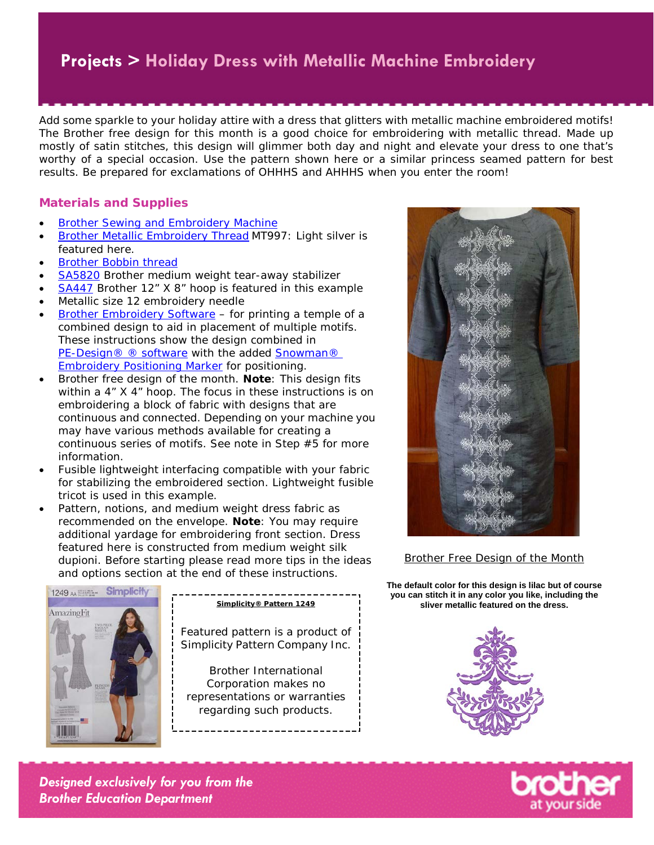Add some sparkle to your holiday attire with a dress that glitters with metallic machine embroidered motifs! The Brother free design for this month is a good choice for embroidering with metallic thread. Made up mostly of satin stitches, this design will glimmer both day and night and elevate your dress to one that's worthy of a special occasion. Use the pattern shown here or a similar princess seamed pattern for best results. Be prepared for exclamations of OHHHS and AHHHS when you enter the room!

#### **Materials and Supplies**

- **[Brother Sewing and Embroidery Machine](http://www.brother-usa.com/homesewing/Products.aspx)**
- **[Brother Metallic Embroidery Thread](http://www.brother-usa.com/Homesewing/Accessories/AccessoryList.aspx?ACASCID=61&CatID=10#.VvHcEWM0o5A) MT997: Light silver is** featured here.
- [Brother Bobbin thread](https://www.brother-usa.com/Homesewing/Accessories/AccessoryList.aspx?ACASCID=61&CatID=10)
- **[SA5820](http://www.brother-usa.com/Homesewing/accessories/AccessoryDetail.aspx?R3AccessoryID=SA5820)** Brother medium weight tear-away stabilizer
- [SA447](http://www.brother-usa.com/Homesewing/Accessories/AccessoryDetail.aspx?R3AccessoryID=SA447) Brother 12" X 8" hoop is featured in this example
- Metallic size 12 embroidery needle
- [Brother Embroidery Software](http://www.brother-usa.com/homesewing/embroiderysoftware/) for printing a temple of a combined design to aid in placement of multiple motifs. These instructions show the design combined in [PE-Design® ®](http://www.brother-usa.com/homesewing/embroiderysoftware/PEDesign/PED10.aspx) software with the added [Snowman®](http://www.brother-usa.com/supplies/accessories.aspx?ASKU=SAEPS2) [Embroidery Positioning Marker](http://www.brother-usa.com/supplies/accessories.aspx?ASKU=SAEPS2) for positioning.
- Brother free design of the month. **Note**: This design fits within a 4" X 4" hoop. The focus in these instructions is on embroidering a block of fabric with designs that are continuous and connected. Depending on your machine you may have various methods available for creating a continuous series of motifs. See note in Step #5 for more information.
- Fusible lightweight interfacing compatible with your fabric for stabilizing the embroidered section. Lightweight fusible tricot is used in this example.
- Pattern, notions, and medium weight dress fabric as recommended on the envelope. **Note**: You may require additional yardage for embroidering front section. Dress featured here is constructed from medium weight silk dupioni. Before starting please read more tips in the ideas and options section at the end of these instructions.



Featured pattern is a product of Simplicity Pattern Company Inc.

Brother International Corporation makes no representations or warranties regarding such products.



**Brother Free Design of the Month** 

**The default color for this design is lilac but of course you can stitch it in any color you like, including the Simplicity® Pattern 1249 sliver metallic featured on the dress.**



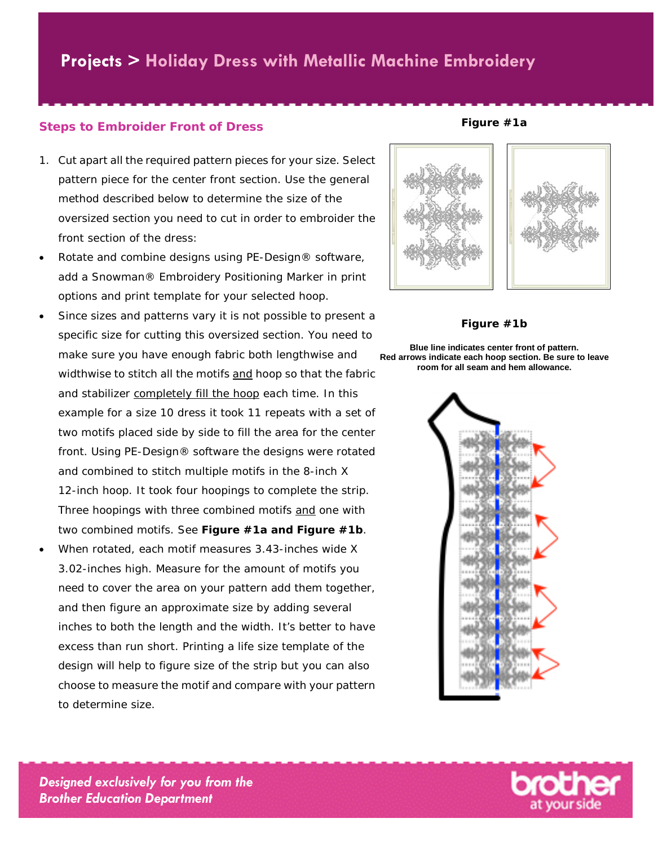#### **Steps to Embroider Front of Dress**

- 1. Cut apart all the required pattern pieces for your size. Select pattern piece for the center front section. Use the general method described below to determine the size of the oversized section you need to cut in order to embroider the front section of the dress:
- Rotate and combine designs using PE-Design® software, add a Snowman® Embroidery Positioning Marker in print options and print template for your selected hoop.
- Since sizes and patterns vary it is not possible to present a specific size for cutting this oversized section. You need to make sure you have enough fabric both lengthwise and widthwise to stitch all the motifs and hoop so that the fabric and stabilizer completely fill the hoop each time. In this example for a size 10 dress it took 11 repeats with a set of two motifs placed side by side to fill the area for the center front. Using PE-Design® software the designs were rotated and combined to stitch multiple motifs in the 8-inch X 12-inch hoop. It took four hoopings to complete the strip. Three hoopings with three combined motifs and one with two combined motifs. See **Figure #1a and Figure #1b**.
- When rotated, each motif measures 3.43-inches wide X 3.02-inches high. Measure for the amount of motifs you need to cover the area on your pattern add them together, and then figure an approximate size by adding several inches to both the length and the width. It's better to have excess than run short. Printing a life size template of the design will help to figure size of the strip but you can also choose to measure the motif and compare with your pattern to determine size.



**Figure #1a**

**Figure #1b**

**Blue line indicates center front of pattern. Red arrows indicate each hoop section. Be sure to leave room for all seam and hem allowance.**



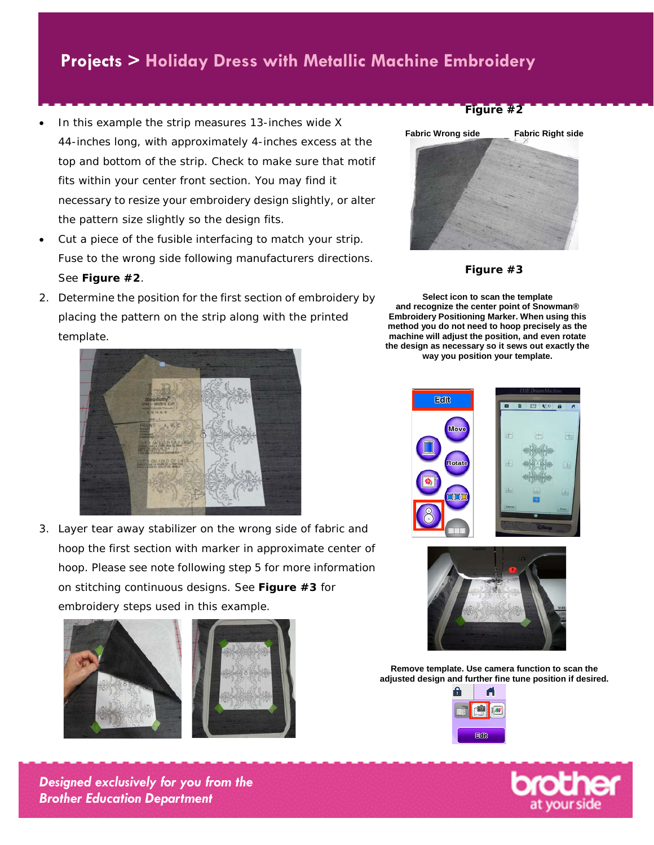- In this example the strip measures 13-inches wide X 44-inches long, with approximately 4-inches excess at the top and bottom of the strip. Check to make sure that motif fits within your center front section. You may find it necessary to resize your embroidery design slightly, or alter the pattern size slightly so the design fits.
- Cut a piece of the fusible interfacing to match your strip. Fuse to the wrong side following manufacturers directions. See **Figure #2**.
- 2. Determine the position for the first section of embroidery by placing the pattern on the strip along with the printed template.



3. Layer tear away stabilizer on the wrong side of fabric and hoop the first section with marker in approximate center of hoop. Please see note following step 5 for more information on stitching continuous designs. See **Figure #3** for embroidery steps used in this example.









**Figure #3**

**Select icon to scan the template and recognize the center point of Snowman® Embroidery Positioning Marker. When using this method you do not need to hoop precisely as the machine will adjust the position, and even rotate the design as necessary so it sews out exactly the way you position your template.**





**Remove template. Use camera function to scan the adjusted design and further fine tune position if desired.**



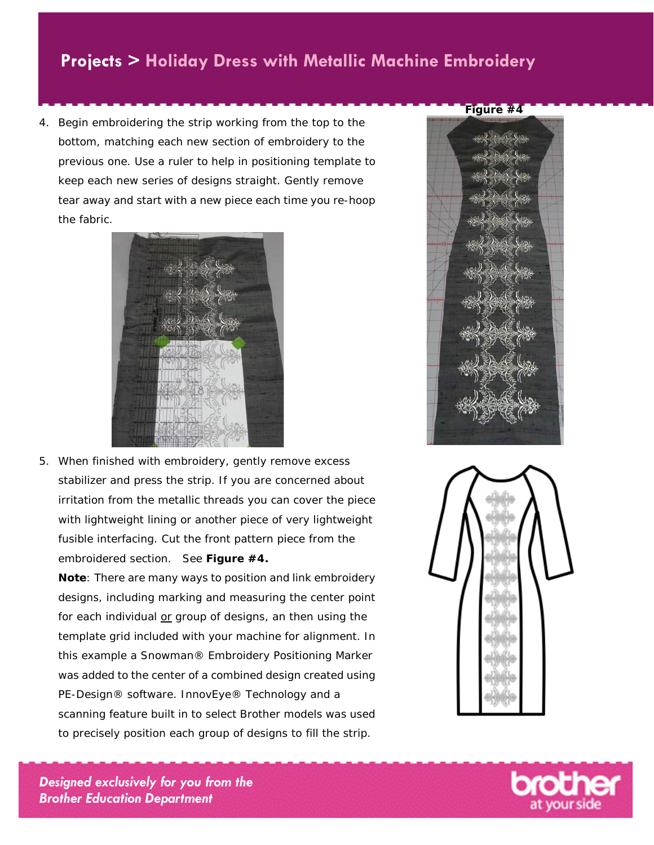4. Begin embroidering the strip working from the top to the bottom, matching each new section of embroidery to the previous one. Use a ruler to help in positioning template to keep each new series of designs straight. Gently remove tear away and start with a new piece each time you re-hoop the fabric.



5. When finished with embroidery, gently remove excess stabilizer and press the strip. If you are concerned about irritation from the metallic threads you can cover the piece with lightweight lining or another piece of very lightweight fusible interfacing. Cut the front pattern piece from the embroidered section. See **Figure #4.**

**Note**: There are many ways to position and link embroidery designs, including marking and measuring the center point for each individual or group of designs, an then using the template grid included with your machine for alignment. In this example a Snowman® Embroidery Positioning Marker was added to the center of a combined design created using PE-Design® software. InnovEye® Technology and a scanning feature built in to select Brother models was used to precisely position each group of designs to fill the strip.